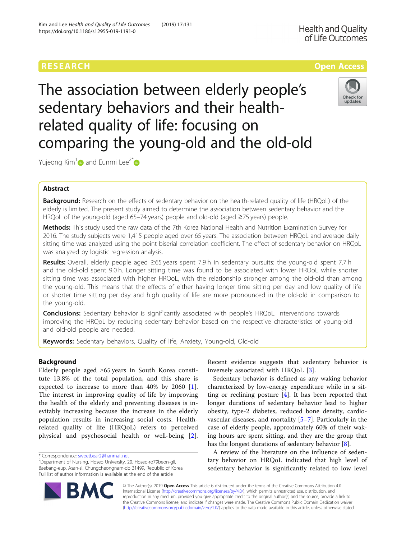# RESEARCH **RESEARCH CONSUMING THE CONSUMING TEACHER CONSUMING THE CONSUMING TEACHER CONSUMING THE CONSUMING TEACHER CONSUMING THE CONSUMING TEACHER CONSUMING THE CONSUMING TEACHER CONSUMING THE CONSUMING TEACHER CONSUMING**

The association between elderly people's sedentary behaviors and their healthrelated quality of life: focusing on comparing the young-old and the old-old

Yujeong Kim<sup>1</sup> and Eunmi Lee<sup>2[\\*](http://orcid.org/0000-0003-1998-6925)</sup>

## Abstract

Background: Research on the effects of sedentary behavior on the health-related quality of life (HRQoL) of the elderly is limited. The present study aimed to determine the association between sedentary behavior and the HRQoL of the young-old (aged 65–74 years) people and old-old (aged ≥75 years) people.

Methods: This study used the raw data of the 7th Korea National Health and Nutrition Examination Survey for 2016. The study subjects were 1,415 people aged over 65 years. The association between HRQoL and average daily sitting time was analyzed using the point biserial correlation coefficient. The effect of sedentary behavior on HRQoL was analyzed by logistic regression analysis.

Results: Overall, elderly people aged ≥65 years spent 7.9 h in sedentary pursuits: the young-old spent 7.7 h and the old-old spent 9.0 h. Longer sitting time was found to be associated with lower HROoL while shorter sitting time was associated with higher HROoL, with the relationship stronger among the old-old than among the young-old. This means that the effects of either having longer time sitting per day and low quality of life or shorter time sitting per day and high quality of life are more pronounced in the old-old in comparison to the young-old.

**Conclusions:** Sedentary behavior is significantly associated with people's HRQoL. Interventions towards improving the HRQoL by reducing sedentary behavior based on the respective characteristics of young-old and old-old people are needed.

Keywords: Sedentary behaviors, Quality of life, Anxiety, Young-old, Old-old

## Background

Elderly people aged ≥65 years in South Korea constitute 13.8% of the total population, and this share is expected to increase to more than 40% by 2060 [[1](#page-7-0)]. The interest in improving quality of life by improving the health of the elderly and preventing diseases is inevitably increasing because the increase in the elderly population results in increasing social costs. Healthrelated quality of life (HRQoL) refers to perceived physical and psychosocial health or well-being [\[2](#page-7-0)].

\* Correspondence: [sweetbear2@hanmail.net](mailto:sweetbear2@hanmail.net) <sup>2</sup>

Recent evidence suggests that sedentary behavior is inversely associated with HRQoL [[3\]](#page-7-0). Sedentary behavior is defined as any waking behavior

characterized by low-energy expenditure while in a sitting or reclining posture  $[4]$  $[4]$ . It has been reported that longer durations of sedentary behavior lead to higher obesity, type-2 diabetes, reduced bone density, cardiovascular diseases, and mortality [[5](#page-7-0)–[7](#page-7-0)]. Particularly in the case of elderly people, approximately 60% of their waking hours are spent sitting, and they are the group that has the longest durations of sedentary behavior [[8](#page-7-0)].

A review of the literature on the influence of sedentary behavior on HRQoL indicated that high level of sedentary behavior is significantly related to low level

© The Author(s). 2019 Open Access This article is distributed under the terms of the Creative Commons Attribution 4.0 International License [\(http://creativecommons.org/licenses/by/4.0/](http://creativecommons.org/licenses/by/4.0/)), which permits unrestricted use, distribution, and reproduction in any medium, provided you give appropriate credit to the original author(s) and the source, provide a link to the Creative Commons license, and indicate if changes were made. The Creative Commons Public Domain Dedication waiver [\(http://creativecommons.org/publicdomain/zero/1.0/](http://creativecommons.org/publicdomain/zero/1.0/)) applies to the data made available in this article, unless otherwise stated.





Department of Nursing, Hoseo University, 20, Hoseo-ro79beon-gil, Baebang-eup, Asan-si, Chungcheongnam-do 31499, Republic of Korea Full list of author information is available at the end of the article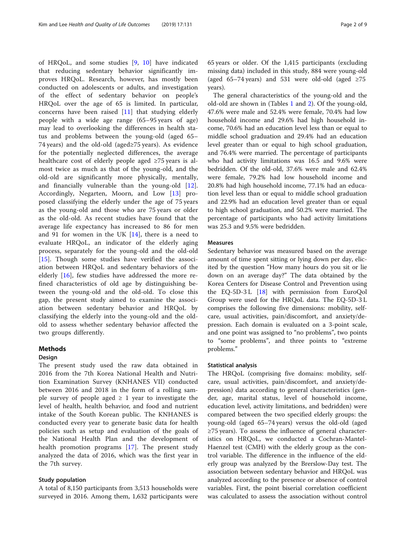of HRQoL, and some studies [[9,](#page-7-0) [10](#page-7-0)] have indicated that reducing sedentary behavior significantly improves HRQoL. Research, however, has mostly been conducted on adolescents or adults, and investigation of the effect of sedentary behavior on people's HRQoL over the age of 65 is limited. In particular, concerns have been raised [[11\]](#page-7-0) that studying elderly people with a wide age range (65–95 years of age) may lead to overlooking the differences in health status and problems between the young-old (aged 65– 74 years) and the old-old (aged≥75 years). As evidence for the potentially neglected differences, the average healthcare cost of elderly people aged ≥75 years is almost twice as much as that of the young-old, and the old-old are significantly more physically, mentally, and financially vulnerable than the young-old [\[12](#page-7-0)]. Accordingly, Negarten, Moorn, and Low [\[13](#page-7-0)] proposed classifying the elderly under the age of 75 years as the young-old and those who are 75 years or older as the old-old. As recent studies have found that the average life expectancy has increased to 86 for men and 91 for women in the UK  $[14]$  $[14]$ , there is a need to evaluate HRQoL, an indicator of the elderly aging process, separately for the young-old and the old-old [[15\]](#page-7-0). Though some studies have verified the association between HRQoL and sedentary behaviors of the elderly [\[16\]](#page-7-0), few studies have addressed the more refined characteristics of old age by distinguishing between the young-old and the old-old. To close this gap, the present study aimed to examine the association between sedentary behavior and HRQoL by classifying the elderly into the young-old and the oldold to assess whether sedentary behavior affected the two groups differently.

## **Methods**

## Design

The present study used the raw data obtained in 2016 from the 7th Korea National Health and Nutrition Examination Survey (KNHANES VII) conducted between 2016 and 2018 in the form of a rolling sample survey of people aged  $\geq 1$  year to investigate the level of health, health behavior, and food and nutrient intake of the South Korean public. The KNHANES is conducted every year to generate basic data for health policies such as setup and evaluation of the goals of the National Health Plan and the development of health promotion programs [[17\]](#page-7-0). The present study analyzed the data of 2016, which was the first year in the 7th survey.

## Study population

A total of 8,150 participants from 3,513 households were surveyed in 2016. Among them, 1,632 participants were 65 years or older. Of the 1,415 participants (excluding missing data) included in this study, 884 were young-old (aged 65–74 years) and 531 were old-old (aged  $\geq 75$ years).

The general characteristics of the young-old and the old-old are shown in (Tables [1](#page-3-0) and [2\)](#page-4-0). Of the young-old, 47.6% were male and 52.4% were female, 70.4% had low household income and 29.6% had high household income, 70.6% had an education level less than or equal to middle school graduation and 29.4% had an education level greater than or equal to high school graduation, and 76.4% were married. The percentage of participants who had activity limitations was 16.5 and 9.6% were bedridden. Of the old-old, 37.6% were male and 62.4% were female, 79.2% had low household income and 20.8% had high household income, 77.1% had an education level less than or equal to middle school graduation and 22.9% had an education level greater than or equal to high school graduation, and 50.2% were married. The percentage of participants who had activity limitations was 25.3 and 9.5% were bedridden.

## Measures

Sedentary behavior was measured based on the average amount of time spent sitting or lying down per day, elicited by the question "How many hours do you sit or lie down on an average day?" The data obtained by the Korea Centers for Disease Control and Prevention using the EQ-5D-3 L [[18\]](#page-7-0) with permission from EuroQol Group were used for the HRQoL data. The EQ-5D-3 L comprises the following five dimensions: mobility, selfcare, usual activities, pain/discomfort, and anxiety/depression. Each domain is evaluated on a 3-point scale, and one point was assigned to "no problems", two points to "some problems", and three points to "extreme problems."

### Statistical analysis

The HRQoL (comprising five domains: mobility, selfcare, usual activities, pain/discomfort, and anxiety/depression) data according to general characteristics (gender, age, marital status, level of household income, education level, activity limitations, and bedridden) were compared between the two specified elderly groups: the young-old (aged 65–74 years) versus the old-old (aged ≥75 years). To assess the influence of general characteristics on HRQoL, we conducted a Cochran-Mantel-Haenzel test (CMH) with the elderly group as the control variable. The difference in the influence of the elderly group was analyzed by the Brerslow-Day test. The association between sedentary behavior and HRQoL was analyzed according to the presence or absence of control variables. First, the point biserial correlation coefficient was calculated to assess the association without control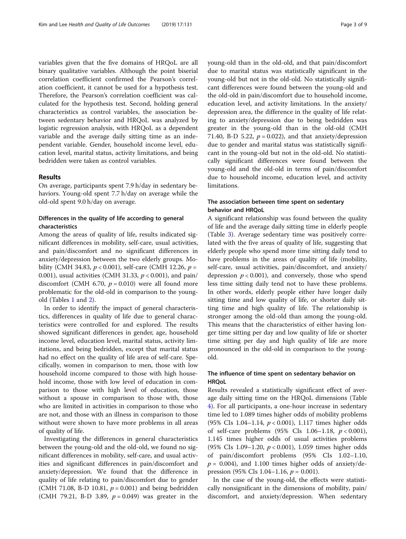variables given that the five domains of HRQoL are all binary qualitative variables. Although the point biserial correlation coefficient confirmed the Pearson's correlation coefficient, it cannot be used for a hypothesis test. Therefore, the Pearson's correlation coefficient was calculated for the hypothesis test. Second, holding general characteristics as control variables, the association between sedentary behavior and HRQoL was analyzed by logistic regression analysis, with HRQoL as a dependent variable and the average daily sitting time as an independent variable. Gender, household income level, education level, marital status, activity limitations, and being bedridden were taken as control variables.

## Results

On average, participants spent 7.9 h/day in sedentary behaviors. Young-old spent 7.7 h/day on average while the old-old spent 9.0 h/day on average.

## Differences in the quality of life according to general characteristics

Among the areas of quality of life, results indicated significant differences in mobility, self-care, usual activities, and pain/discomfort and no significant differences in anxiety/depression between the two elderly groups. Mobility (CMH 34.83,  $p < 0.001$ ), self-care (CMH 12.26,  $p =$ 0.001), usual activities (CMH 31.33,  $p < 0.001$ ), and pain/ discomfort (CMH 6.70,  $p = 0.010$ ) were all found more problematic for the old-old in comparison to the youngold (Tables [1](#page-3-0) and [2](#page-4-0)).

In order to identify the impact of general characteristics, differences in quality of life due to general characteristics were controlled for and explored. The results showed significant differences in gender, age, household income level, education level, marital status, activity limitations, and being bedridden, except that marital status had no effect on the quality of life area of self-care. Specifically, women in comparison to men, those with low household income compared to those with high household income, those with low level of education in comparison to those with high level of education, those without a spouse in comparison to those with, those who are limited in activities in comparison to those who are not, and those with an illness in comparison to those without were shown to have more problems in all areas of quality of life.

Investigating the differences in general characteristics between the young-old and the old-old, we found no significant differences in mobility, self-care, and usual activities and significant differences in pain/discomfort and anxiety/depression. We found that the difference in quality of life relating to pain/discomfort due to gender (CMH 71.08, B-D 10.81,  $p = 0.001$ ) and being bedridden (CMH 79.21, B-D 3.89,  $p = 0.049$ ) was greater in the young-old than in the old-old, and that pain/discomfort due to marital status was statistically significant in the young-old but not in the old-old. No statistically significant differences were found between the young-old and the old-old in pain/discomfort due to household income, education level, and activity limitations. In the anxiety/ depression area, the difference in the quality of life relating to anxiety/depression due to being bedridden was greater in the young-old than in the old-old (CMH 71.40, B-D 5.22,  $p = 0.022$ ), and that anxiety/depression due to gender and marital status was statistically significant in the young-old but not in the old-old. No statistically significant differences were found between the young-old and the old-old in terms of pain/discomfort due to household income, education level, and activity limitations.

## The association between time spent on sedentary behavior and HRQoL

A significant relationship was found between the quality of life and the average daily sitting time in elderly people (Table [3](#page-5-0)). Average sedentary time was positively correlated with the five areas of quality of life, suggesting that elderly people who spend more time sitting daily tend to have problems in the areas of quality of life (mobility, self-care, usual activities, pain/discomfort, and anxiety/ depression  $p < 0.001$ ), and conversely, those who spend less time sitting daily tend not to have these problems. In other words, elderly people either have longer daily sitting time and low quality of life, or shorter daily sitting time and high quality of life. The relationship is stronger among the old-old than among the young-old. This means that the characteristics of either having longer time sitting per day and low quality of life or shorter time sitting per day and high quality of life are more pronounced in the old-old in comparison to the youngold.

## The influence of time spent on sedentary behavior on HRQoL

Results revealed a statistically significant effect of average daily sitting time on the HRQoL dimensions (Table [4\)](#page-5-0). For all participants, a one-hour increase in sedentary time led to 1.089 times higher odds of mobility problems (95% CIs 1.04–1.14, p < 0.001), 1.117 times higher odds of self-care problems (95% CIs 1.06–1.18,  $p < 0.001$ ), 1.145 times higher odds of usual activities problems (95% CIs 1.09–1.20,  $p < 0.001$ ), 1.059 times higher odds of pain/discomfort problems (95% CIs 1.02–1.10,  $p = 0.004$ ), and 1.100 times higher odds of anxiety/depression (95% CIs 1.04–1.16,  $p = 0.001$ ).

In the case of the young-old, the effects were statistically nonsignificant in the dimensions of mobility, pain/ discomfort, and anxiety/depression. When sedentary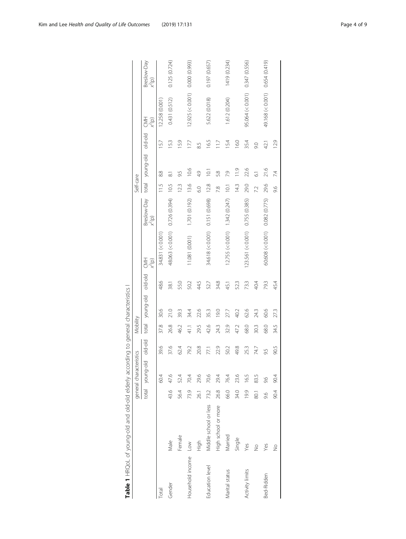<span id="page-3-0"></span>

|                      |                       |      | teristics<br>general charact |      | Mobility |                         |      |                   |                         | Self-care      |                         |               |                           |                            |
|----------------------|-----------------------|------|------------------------------|------|----------|-------------------------|------|-------------------|-------------------------|----------------|-------------------------|---------------|---------------------------|----------------------------|
|                      |                       |      | total young-old old-old      |      |          | total young-old old-old |      | CML<br>$x^2(p)$   | Breslow-Day<br>$x^2(p)$ |                | total young-old old-old |               | <b>TRA</b><br>$x^2(\rho)$ | Breslow-Day<br>$x^2(\rho)$ |
| Total                |                       |      | 60.4                         | 39.6 | 37.8     | 30.6                    | 48.6 | 34.831 (< 0.001   |                         | $\frac{5}{11}$ | 88                      | $\frac{1}{2}$ | (2.258 (0.001)            |                            |
| Gender               | Male                  | 43.6 | 47.6                         | 37.6 | 26.8     | 21.0                    | 38.1 | 48.063 (< 0.001)  | 0.726 (0.394)           | 10.5           | ಷ                       | 15.3          | 0.431 (0.512)             | 0.125(0.724)               |
|                      | Female                | 56.4 | 52.4                         | 62.4 | 46.2     | 39.3                    | 55.0 |                   |                         | 12.3           | 9.5                     | 15.9          |                           |                            |
| Household income Low |                       | 73.9 | 70.4                         | 79.2 | $-11$    | 34.4                    | 50.2 | 1.081 (0.001)     | 1.701 (0.192)           | 13.6           | 10.6                    | 177           | (2.925 (< 0.001)          | 0.000 (0.993)              |
|                      | $rac{c}{\pm}$         | 26.1 | 29.6                         | 20.8 | 29.5     | 22.6                    | 44.5 |                   |                         | C.O            | 4.9                     | 8.5           |                           |                            |
| Education level      | Middle school or less | 73.2 | 70.6                         | 77.1 | 42.6     | 35.3                    | 52.7 | 34.618 (< 0.001)  | 0.151 (0.698)           | 12.8           | $\overline{c}$          | 16.5          | 5.622 (0.018)             | 0.197(0.657)               |
|                      | High school or more   | 26.8 | 29.4                         | 22.9 | 24.3     | 19.0                    | 34.8 |                   |                         | 7.8            | 5.8                     | 117           |                           |                            |
| Marital status       | Married               | 66.0 | 76.4                         | 50.2 | 32.9     | 27.7                    | 45.1 | 12.755 (< 0.001)  | 1.342 (0.247)           | 10.1           | 7.9                     | 15.4          | 1.612 (0.204)             | 1419 (0.234)               |
|                      | Single                | 34.0 | 23.6                         | 49.8 | 47.2     | 40.2                    | 52.3 |                   |                         | $\frac{3}{4}$  | $\frac{0}{11}$          | 16.0          |                           |                            |
| Activity limits      | Yes                   | 19.9 | 16.5                         | 25.3 | 68.0     | 62.6                    | 73.3 | 123.561 (< 0.001) | 0.755 (0.385)           | 29.0           | 22.6                    | 35.4          | 95.064 (< 0.001)          | 0.347 (0.556)              |
|                      | $\frac{1}{2}$         | 80.1 | 83.5                         | 74.7 | 30.3     | 24.3                    | 40.4 |                   |                         | 7.2            | $\overline{6}$          | 9.0           |                           |                            |
| Bed-Ridden           | Yes                   | 9.6  | 9.6                          | 9.5  | 68.0     | 60.6                    | 79.3 | 60.608 (< 0.001)  | 0.082 (0.775)           | 29.6           | 21.6                    | 42.1          | 49.168 (< 0.001)          | 0.654 (0.419)              |
|                      | $\frac{1}{2}$         | 90.4 | 90.4                         | 90.5 | 34.5     | 27.3                    | 45.4 |                   |                         | 9.6            | 7.4                     | 12.9          |                           |                            |
|                      |                       |      |                              |      |          |                         |      |                   |                         |                |                         |               |                           |                            |

| )<br>)<br>)<br>)                  |  |
|-----------------------------------|--|
| <br> <br> <br> <br>               |  |
|                                   |  |
| ֡                                 |  |
| こうし こうりょう うち しょうこうこう              |  |
| J<br>j                            |  |
| )<br>)<br>)                       |  |
|                                   |  |
| てつり てんり てんりょう                     |  |
|                                   |  |
| うりり<br>$\zeta$<br>$\tilde{\zeta}$ |  |
|                                   |  |
|                                   |  |
|                                   |  |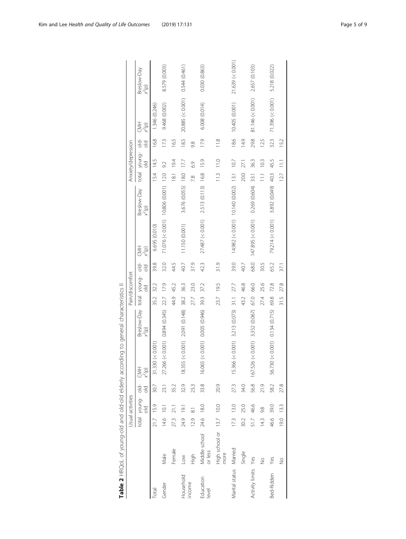<span id="page-4-0"></span>

|                        |                                  |           | Usual activities                       |                      |                                       |                         |                  | Pain/discomfort   |                                              |                                               |                         |                 | Anxiety/depression                   |                                              |                  |                                  |
|------------------------|----------------------------------|-----------|----------------------------------------|----------------------|---------------------------------------|-------------------------|------------------|-------------------|----------------------------------------------|-----------------------------------------------|-------------------------|-----------------|--------------------------------------|----------------------------------------------|------------------|----------------------------------|
|                        |                                  |           | total young-old-<br>$rac{1}{\sqrt{2}}$ | $\frac{1}{\sqrt{2}}$ | CMH<br>X <sup>2</sup> (p)             | Breslow-Day<br>$x^2(0)$ |                  | total young-<br>응 | $\frac{1}{\sqrt{2}}$<br>$\frac{1}{\sqrt{2}}$ | SV<br>XQ                                      | Breslow-Day<br>$x^2(p)$ |                 | total young-<br>$\frac{1}{\sqrt{2}}$ | $\frac{1}{\sqrt{2}}$<br>$\frac{1}{\sqrt{2}}$ | SV<br>XQ         | Breslow-Day<br>$x^2(\mathsf{p})$ |
| Total                  |                                  |           | 21.7 15.9                              | 30.7                 | 31.330 (< 0.001                       |                         | 35.2             | 32.2              | 39.8                                         | 6.695 (0.010)                                 |                         |                 | 15.4 14.5                            | 16.8                                         | 1.346 (0.246)    |                                  |
| Gender                 | Male                             |           | 14.6 10.1                              | 23.1                 | 27.266 (< 0.001) 0.894 (0.345)        |                         | 22.7             | 17.9              | 32.0                                         | 71.076 (< 0.001) 10.806 (0.001) 12.0          |                         |                 | 92                                   | 17.3                                         | 9.468 (0.002)    | 8.579 (0.003)                    |
|                        | Female                           | 27.3      | 21.1                                   | 35.2                 |                                       |                         | 44.9             | 45.2              | 44.5                                         |                                               |                         | $\frac{81}{18}$ | 194                                  | 16.5                                         |                  |                                  |
| Household              | Low                              | 24.9      | 19.1                                   | 32.9                 | 18.355 (< 0.001) 2.091 (0.148)        |                         | 38.2             | 36.3              | 40.7                                         | (1,00.0) 051.11                               | 3.676 (0.055) 18.0      |                 | 177                                  | 18.5                                         | 20.885 (< 0.001) | 0.544 (0.461)                    |
| income                 | High                             | 12.9      | $\overline{\circ}$                     | 23.3                 |                                       |                         | 27.7             | 23.0              | 37.9                                         |                                               |                         | $\frac{8}{2}$   | 63                                   | 9.8                                          |                  |                                  |
| Education<br>level     | Middle school<br>or less         | 24.6 18.0 |                                        | 33.8                 | $16.065 (< 0.001)$ 0.005 (0.946)      |                         | 39.3             | 37.2              | 42.3                                         | 27.487 (< 0.001)                              | 2.513 (0.113) 16.8      |                 | 15.9                                 | 17.9                                         | 6.008 (0.014)    | 0.030 (0.863)                    |
|                        | High school or 13.7 10.0<br>more |           |                                        | 20.9                 |                                       |                         | 23.7             | 19.5              | 31.9                                         |                                               |                         | 11.3            | $\frac{10}{11}$                      | 11.8                                         |                  |                                  |
| Marital status Married |                                  | 17.3      | 13.0                                   | 273                  | $15.366 (< 0.001)$ 3.213 (0.073) 31.1 |                         |                  | 27.7              | 39.0                                         | $14.982$ (< 0.001) $10.140$ (0.002) 13.1 10.7 |                         |                 |                                      | 18.6                                         | 10.405 (0.001)   | 21.639 (< 0.001)                 |
|                        | Single                           | 30.2      | 25.0                                   | 34.0                 |                                       |                         | 43.2             | 46.8              | 40.7                                         |                                               |                         | 20.0            | 27.1                                 | 14.9                                         |                  |                                  |
| Activity limits Yes    |                                  | 51.7      | 46.6                                   | 568                  | 167.526 (< 0.001) 3.352 (0.067)       |                         | 67.0             | 66.0              | 68.0                                         | 147.895 (< 0.001)                             | 0.269 (0.604)           | 33.1            | 363                                  | 29.8                                         | 81.146 (< 0.001) | 2.657 (0.103)                    |
|                        | $\frac{1}{2}$                    | 14.3      | 9.8                                    | 21.9                 |                                       |                         | 27.4             | 25.6              | 30.5                                         |                                               |                         | $\frac{1}{11}$  | 10.3                                 | 12.5                                         |                  |                                  |
| Bed-Ridden             | Yes                              | 46.6      | 39.0                                   | 58.2                 | $30 (= 0.001)$ 0.134 (0.715)<br>567   |                         | 69.8             | 72.8              | 65.2                                         | 79.214 (< 0.001)                              | 3.892 (0.049)           | 40.3            | 45.5                                 | 32.3                                         | 71.396 (< 0.001) | 5.218 (0.022)                    |
|                        | $\frac{1}{2}$                    |           | 19.0 13.3                              | 27.8                 |                                       |                         | $\frac{5}{31.5}$ | 27.8              | 37,1                                         |                                               |                         | 12.7            | $\overline{111}$                     | 15.2                                         |                  |                                  |
|                        |                                  |           |                                        |                      |                                       |                         |                  |                   |                                              |                                               |                         |                 |                                      |                                              |                  |                                  |

Table 2 HRQoL of young-old and old-old elderly according to general characteristics II Table 2 HRQoL of young-old and old-old elderly according to general characteristics II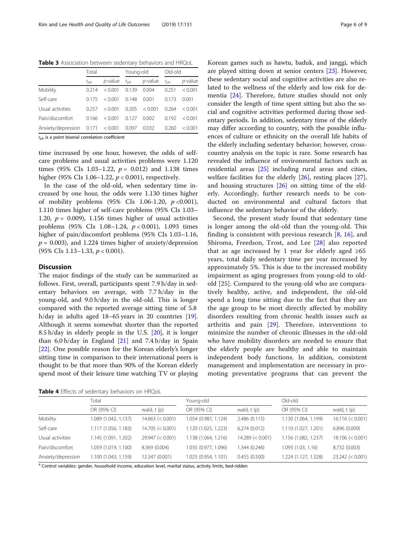<span id="page-5-0"></span>Table 3 Association between sedentary behaviors and HRQoL

| Total    |                          |          |                 | Old-old   |         |
|----------|--------------------------|----------|-----------------|-----------|---------|
| $r_{ob}$ | <i>p</i> -value          | $r_{bb}$ | <i>p</i> -value | $r_{ob}$  | p-value |
| 0.214    | $<$ 0.001                | 0139     | 0.004           | 0.251     | < 0.001 |
| 0175     | < 0.001                  | 0148     | 0.001           | 0.173     | 0.001   |
| 0257     | < 0.001                  | 0.205    | < 0.001         | 0.264     | < 0.001 |
| 0.166    | < 0.001                  | 0.127    | 0.002           | 0.192     | < 0.001 |
|          | < 0.001                  | 0.097    | 0.032           | 0.260     | < 0.001 |
|          | Anxiety/depression 0.171 |          |                 | Young-old |         |

 $r_{pb}$  is a point biserial correlation coefficient

time increased by one hour, however, the odds of selfcare problems and usual activities problems were 1.120 times (95% CIs 1.03–1.22,  $p = 0.012$ ) and 1.138 times higher (95% CIs 1.06–1.22,  $p < 0.001$ ), respectively.

In the case of the old-old, when sedentary time increased by one hour, the odds were 1.130 times higher of mobility problems  $(95\% \text{ CIs } 1.06-1.20, p < 0.001)$ , 1.110 times higher of self-care problems (95% CIs 1.03– 1.20,  $p = 0.009$ , 1.156 times higher of usual activities problems (95% CIs 1.08–1.24, p < 0.001), 1.093 times higher of pain/discomfort problems (95% CIs 1.03–1.16,  $p = 0.003$ ), and 1.224 times higher of anxiety/depression (95% CIs 1.13–1.33,  $p < 0.001$ ).

## **Discussion**

The major findings of the study can be summarized as follows. First, overall, participants spent 7.9 h/day in sedentary behaviors on average, with 7.7 h/day in the young-old, and 9.0 h/day in the old-old. This is longer compared with the reported average sitting time of 5.8 h/day in adults aged 18–65 years in 20 countries [\[19](#page-7-0)]. Although it seems somewhat shorter than the reported 8.5 h/day in elderly people in the U.S. [\[20\]](#page-7-0), it is longer than  $6.0$  h/day in England  $[21]$  $[21]$  $[21]$  and  $7.4$  h/day in Spain [[22\]](#page-8-0). One possible reason for the Korean elderly's longer sitting time in comparison to their international peers is thought to be that more than 90% of the Korean elderly spend most of their leisure time watching TV or playing

Korean games such as hawtu, baduk, and janggi, which are played sitting down at senior centers [[23\]](#page-8-0). However, these sedentary social and cognitive activities are also related to the wellness of the elderly and low risk for dementia [[24\]](#page-8-0). Therefore, future studies should not only consider the length of time spent sitting but also the social and cognitive activities performed during those sedentary periods. In addition, sedentary time of the elderly may differ according to country, with the possible influences of culture or ethnicity on the overall life habits of the elderly including sedentary behavior; however, crosscountry analysis on the topic is rare. Some research has revealed the influence of environmental factors such as residential areas [[25](#page-8-0)] including rural areas and cities, welfare facilities for the elderly [\[26\]](#page-8-0), resting places [\[27](#page-8-0)], and housing structures [[26\]](#page-8-0) on sitting time of the elderly. Accordingly, further research needs to be conducted on environmental and cultural factors that influence the sedentary behavior of the elderly.

Second, the present study found that sedentary time is longer among the old-old than the young-old. This finding is consistent with previous research [[8](#page-7-0), [16\]](#page-7-0), and Shiroma, Freedson, Trost, and Lee [[28\]](#page-8-0) also reported that as age increased by 1 year for elderly aged  $\geq 65$ years, total daily sedentary time per year increased by approximately 5%. This is due to the increased mobility impairment as aging progresses from young-old to oldold [\[25](#page-8-0)]. Compared to the young-old who are comparatively healthy, active, and independent, the old-old spend a long time sitting due to the fact that they are the age group to be most directly affected by mobility disorders resulting from chronic health issues such as arthritis and pain [\[29](#page-8-0)]. Therefore, interventions to minimize the number of chronic illnesses in the old-old who have mobility disorders are needed to ensure that the elderly people are healthy and able to maintain independent body functions. In addition, consistent management and implementation are necessary in promoting preventative programs that can prevent the

Table 4 Effects of sedentary behaviors on HROoL

|                    | Total                |                     | Young-old            |                  | Old-old              |                  |
|--------------------|----------------------|---------------------|----------------------|------------------|----------------------|------------------|
|                    | OR (95% CI)          | wald, $t(p)$        | OR (95% CI)          | wald, $t(p)$     | OR (95% CI)          | wald, $t(p)$     |
| <b>Mobility</b>    | 1.089 (1.042, 1.137) | 14.663 (< 0.001)    | 1.054 (0.987, 1.124) | 2.486 (0.115)    | 1.130 (1.064, 1.199) | 16.116 (< 0.001) |
| Self-care          | 1.117 (1.056, 1.183) | 14.705 (< 0.001)    | 1.120 (1.025, 1.223) | 6.274(0.012)     | 1.110 (1.027, 1.201) | 6.896 (0.009)    |
| Usual activities   | 1.145 (1.091, 1.202) | $29.947 (< 0.001$ ) | 1.138 (1.064, 1.216) | 14.289 (< 0.001) | 1.156 (1.082, 1.237) | 18.106 (< 0.001) |
| Pain/discomfort    | 1.059 (1.019, 1.100) | 8.369 (0.004)       | 1.035 (0.977, 1.096) | 1.344 (0.246)    | 1.093 (1.03, 1.16)   | 8.732 (0.003)    |
| Anxiety/depression | 1.100 (1.043, 1.159) | 12.347 (0.001)      | 1.025 (0.954, 1.101) | 0.455(0.500)     | 1.224 (1.127, 1.328) | 23.242 (< 0.001) |

<sup>a</sup> Control variables: gender, household income, education level, marital status, activity limits, bed-ridden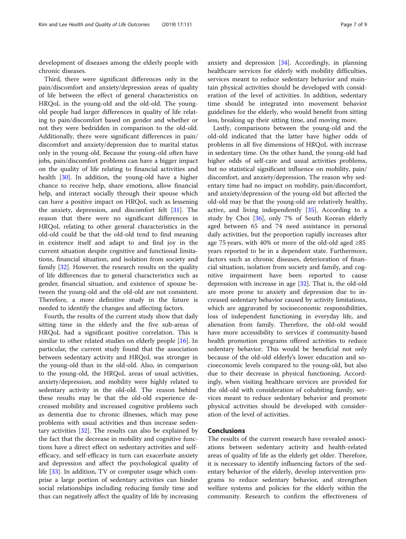development of diseases among the elderly people with chronic diseases.

Third, there were significant differences only in the pain/discomfort and anxiety/depression areas of quality of life between the effect of general characteristics on HRQoL in the young-old and the old-old. The youngold people had larger differences in quality of life relating to pain/discomfort based on gender and whether or not they were bedridden in comparison to the old-old. Additionally, there were significant differences in pain/ discomfort and anxiety/depression due to marital status only in the young-old. Because the young-old often have jobs, pain/discomfort problems can have a bigger impact on the quality of life relating to financial activities and health [\[30](#page-8-0)]. In addition, the young-old have a higher chance to receive help, share emotions, allow financial help, and interact socially through their spouse which can have a positive impact on HRQoL such as lessening the anxiety, depression, and discomfort felt [[31\]](#page-8-0). The reason that there were no significant differences in HRQoL relating to other general characteristics in the old-old could be that the old-old tend to find meaning in existence itself and adapt to and find joy in the current situation despite cognitive and functional limitations, financial situation, and isolation from society and family [\[32](#page-8-0)]. However, the research results on the quality of life differences due to general characteristics such as gender, financial situation, and existence of spouse between the young-old and the old-old are not consistent. Therefore, a more definitive study in the future is needed to identify the changes and affecting factors.

Fourth, the results of the current study show that daily sitting time in the elderly and the five sub-areas of HRQoL had a significant positive correlation. This is similar to other related studies on elderly people [[16](#page-7-0)]. In particular, the current study found that the association between sedentary activity and HRQoL was stronger in the young-old than in the old-old. Also, in comparison to the young-old, the HRQoL areas of usual activities, anxiety/depression, and mobility were highly related to sedentary activity in the old-old. The reason behind these results may be that the old-old experience decreased mobility and increased cognitive problems such as dementia due to chronic illnesses, which may pose problems with usual activities and thus increase sedentary activities [\[32](#page-8-0)]. The results can also be explained by the fact that the decrease in mobility and cognitive functions have a direct effect on sedentary activities and selfefficacy, and self-efficacy in turn can exacerbate anxiety and depression and affect the psychological quality of life [\[33](#page-8-0)]. In addition, TV or computer usage which comprise a large portion of sedentary activities can hinder social relationships including reducing family time and thus can negatively affect the quality of life by increasing anxiety and depression [[34\]](#page-8-0). Accordingly, in planning healthcare services for elderly with mobility difficulties, services meant to reduce sedentary behavior and maintain physical activities should be developed with consideration of the level of activities. In addition, sedentary time should be integrated into movement behavior guidelines for the elderly, who would benefit from sitting less, breaking up their sitting time, and moving more.

Lastly, comparisons between the young-old and the old-old indicated that the latter have higher odds of problems in all five dimensions of HRQoL with increase in sedentary time. On the other hand, the young-old had higher odds of self-care and usual activities problems, but no statistical significant influence on mobility, pain/ discomfort, and anxiety/depression. The reason why sedentary time had no impact on mobility, pain/discomfort, and anxiety/depression of the young-old but affected the old-old may be that the young-old are relatively healthy, active, and living independently  $[35]$  $[35]$ . According to a study by Choi [\[36](#page-8-0)], only 7% of South Korean elderly aged between 65 and 74 need assistance in personal daily activities, but the proportion rapidly increases after age 75 years, with 40% or more of the old-old aged ≥85 years reported to be in a dependent state. Furthermore, factors such as chronic diseases, deterioration of financial situation, isolation from society and family, and cognitive impairment have been reported to cause depression with increase in age [\[32](#page-8-0)]. That is, the old-old are more prone to anxiety and depression due to increased sedentary behavior caused by activity limitations, which are aggravated by socioeconomic responsibilities, loss of independent functioning in everyday life, and alienation from family. Therefore, the old-old would have more accessibility to services if community-based health promotion programs offered activities to reduce sedentary behavior. This would be beneficial not only because of the old-old elderly's lower education and socioeconomic levels compared to the young-old, but also due to their decrease in physical functioning. Accordingly, when visiting healthcare services are provided for the old-old with consideration of cohabiting family, services meant to reduce sedentary behavior and promote physical activities should be developed with consideration of the level of activities.

## Conclusions

The results of the current research have revealed associations between sedentary activity and health-related areas of quality of life as the elderly get older. Therefore, it is necessary to identify influencing factors of the sedentary behavior of the elderly, develop intervention programs to reduce sedentary behavior, and strengthen welfare systems and policies for the elderly within the community. Research to confirm the effectiveness of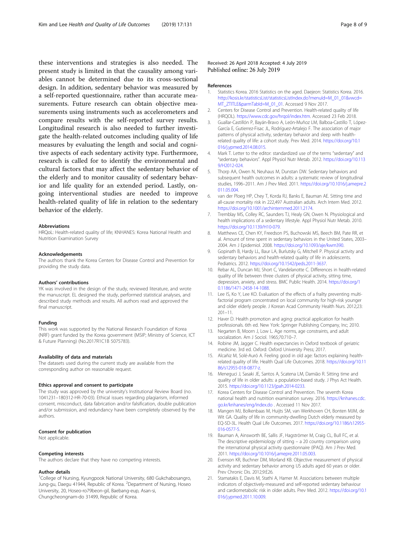<span id="page-7-0"></span>these interventions and strategies is also needed. The present study is limited in that the causality among variables cannot be determined due to its cross-sectional design. In addition, sedentary behavior was measured by a self-reported questionnaire, rather than accurate measurements. Future research can obtain objective measurements using instruments such as accelerometers and compare results with the self-reported survey results. Longitudinal research is also needed to further investigate the health-related outcomes including quality of life measures by evaluating the length and social and cognitive aspects of each sedentary activity type. Furthermore, research is called for to identify the environmental and cultural factors that may affect the sedentary behavior of the elderly and to monitor causality of sedentary behavior and life quality for an extended period. Lastly, ongoing interventional studies are needed to improve health-related quality of life in relation to the sedentary behavior of the elderly.

### Abbreviations

HRQoL: Health-related quality of life; KNHANES: Korea National Health and Nutrition Examination Survey

#### Acknowledgements

The authors thank the Korea Centers for Disease Control and Prevention for providing the study data.

### Authors' contributions

YK was involved in the design of the study, reviewed literature, and wrote the manuscript. EL designed the study, performed statistical analyses, and described study methods and results. All authors read and approved the final manuscript.

### Funding

This work was supported by the National Research Foundation of Korea (NRF) grant funded by the Korea government (MSIP; Ministry of Science, ICT & Future Planning) (No.2017R1C1B 5075783).

### Availability of data and materials

The datasets used during the current study are available from the corresponding author on reasonable request.

### Ethics approval and consent to participate

The study was approved by the university's Institutional Review Board (no. 1041231–180312-HR-70-03). Ethical issues regarding plagiarism, informed consent, misconduct, data fabrication and/or falsification, double publication and/or submission, and redundancy have been completely observed by the authors.

### Consent for publication

Not applicable.

### Competing interests

The authors declare that they have no competing interests.

### Author details

<sup>1</sup>College of Nursing, Kyungpook National University, 680 Gukchabosangro, Jung-gu, Daegu 41944, Republic of Korea. <sup>2</sup>Department of Nursing, Hoseo University, 20, Hoseo-ro79beon-gil, Baebang-eup, Asan-si, Chungcheongnam-do 31499, Republic of Korea.

## Received: 26 April 2018 Accepted: 4 July 2019 Published online: 26 July 2019

### References

- 1. Statistics Korea. 2016 Statistics on the aged. Daejeon: Statistics Korea. 2016. [http://kosis.kr/statisticsList/statisticsListIndex.do?menuId=M\\_01\\_01&vwcd=](http://kosis.kr/statisticsList/statisticsListIndex.do?menuId=M_01_01&vwcd=MT_ZTITLE&parmTabId=M_01_01) [MT\\_ZTITLE&parmTabId=M\\_01\\_01](http://kosis.kr/statisticsList/statisticsListIndex.do?menuId=M_01_01&vwcd=MT_ZTITLE&parmTabId=M_01_01). Accessed 9 Nov 2017.
- 2. Centers for Disease Control and Prevention. Health-related quality of life (HRQOL). <https://www.cdc.gov/hrqol/index.htm>. Accessed 23 Feb 2018.
- 3. Guallar-Castillón P, Bayán-Bravo A, León-Muñoz LM, Balboa-Castillo T, López-García E, Gutierrez-Fisac JL, Rodríguez-Artalejo F. The association of major patterns of physical activity, sedentary behavior and sleep with healthrelated quality of life: a cohort study. Prev Med. 2014. [https://doi.org/10.1](https://doi.org/10.1016/j.ypmed.2014.08.015) [016/j.ypmed.2014.08.015](https://doi.org/10.1016/j.ypmed.2014.08.015).
- 4. Mark T. Letter to the editor: standardized use of the terms "sedentary" and "sedentary behaviors". Appl Physiol Nutr Metab. 2012. [https://doi.org/10.113](https://doi.org/10.1139/H2012-024) [9/H2012-024.](https://doi.org/10.1139/H2012-024)
- 5. Thorp AA, Owen N, Neuhaus M, Dunstan DW. Sedentary behaviors and subsequent health outcomes in adults: a systematic review of longitudinal studies, 1996–2011. Am J Prev Med. 2011. [https://doi.org/10.1016/j.amepre.2](https://doi.org/10.1016/j.amepre.2011.05.004) [011.05.004](https://doi.org/10.1016/j.amepre.2011.05.004).
- 6. van der Ploeg HP, Chey T, Korda RJ, Banks E, Bauman AE. Sitting time and all-cause mortality risk in 222,497 Australian adults. Arch Intern Med. 2012. [https://doi.org/10.1001/archinternmed.2011.2174.](https://doi.org/10.1001/archinternmed.2011.2174)
- 7. Tremblay MS, Colley RC, Saunders TJ, Healy GN, Owen N. Physiological and health implications of a sedentary lifestyle. Appl Physiol Nutr Metab. 2010. [https://doi.org/10.1139/H10-079.](https://doi.org/10.1139/H10-079)
- 8. Matthews CE, Chen KY, Freedson PS, Buchowski MS, Beech BM, Pate RR, et al. Amount of time spent in sedentary behaviors in the United States, 2003– 2004. Am J Epidemiol. 2008. [https://doi.org/10.1093/aje/kwm390.](https://doi.org/10.1093/aje/kwm390)
- 9. Gopinath B, Hardy LL, Baur LA, Burlutsky G, Mitchell P. Physical activity and sedentary behaviors and health-related quality of life in adolescents. Pediatrics. 2012. <https://doi.org/10.1542/peds.2011-3637>.
- 10. Rebar AL, Duncan MJ, Short C, Vandelanotte C. Differences in health-related quality of life between three clusters of physical activity, sitting time, depression, anxiety, and stress. BMC Public Health. 2014. [https://doi.org/1](https://doi.org/10.1186/1471-2458-14-1088) [0.1186/1471-2458-14-1088](https://doi.org/10.1186/1471-2458-14-1088).
- 11. Lee IS, Ko Y, Lee KO. Evaluation of the effects of a frailty preventing multifactorial program concentrated on local community for high-risk younger and older elderly people. J Korean Acad Community Health Nurs. 2012;23: 201–11.
- 12. Haver D. Health promotion and aging: practical application for health professionals. 6th ed. New York: Springer Publishing Company, Inc; 2010.
- 13. Negarten B, Moorn J, Low L. Age norms, age constraints, and adult socialization. Am J Sociol. 1965;70:710–7.
- 14. Robine JM, Jagger C. Health expectancies in Oxford textbook of geriatric medicine. 3rd ed. Oxford: Oxford University Press; 2017.
- 15. Alcañiz M, Solé-Auró A. Feeling good in old age: factors explaining healthrelated quality of life. Health Qual Life Outcomes. 2018. [https://doi.org/10.11](https://doi.org/10.1186/s12955-018-0877-z) [86/s12955-018-0877-z.](https://doi.org/10.1186/s12955-018-0877-z)
- 16. Meneguci J, Sasaki JE, Santos A, Scatena LM, Damião R. Sitting time and quality of life in older adults: a population-based study. J Phys Act Health. 2015. [https://doi.org/10.1123/jpah.2014-0233.](https://doi.org/10.1123/jpah.2014-0233)
- 17. Korea Centers for Disease Control and Prevention. The seventh Korea national health and nutrition examination survey. 2016. [https://knhanes.cdc.](https://knhanes.cdc.go.kr/knhanes/eng/index.do) [go.kr/knhanes/eng/index.do](https://knhanes.cdc.go.kr/knhanes/eng/index.do) . Accessed 11 Nov 2017.
- 18. Mangen MJ, Bolkenbaas M, Huijts SM, van Werkhoven CH, Bonten MJM, de Wit GA. Quality of life in community-dwelling Dutch elderly measured by EQ-5D-3L. Health Qual Life Outcomes. 2017. [https://doi.org/10.1186/s12955-](https://doi.org/10.1186/s12955-016-0577-5) [016-0577-5](https://doi.org/10.1186/s12955-016-0577-5).
- 19. Bauman A, Ainsworth BE, Sallis JF, Hagströmer M, Craig CL, Bull FC, et al. The descriptive epidemiology of sitting – a 20 country comparison using the international physical activity questionnaire (IPAQ). Am J Prev Med. 2011. [https://doi.org/10.1016/j.amepre.2011.05.003.](https://doi.org/10.1016/j.amepre.2011.05.003)
- 20. Evenson KR, Buchner DM, Morland KB. Objective measurement of physical activity and sedentary behavior among US adults aged 60 years or older. Prev Chronic Dis. 2012;9:E26.
- 21. Stamatakis E, Davis M, Stathi A, Hamer M. Associations between multiple indicators of objectively-measured and self-reported sedentary behaviour and cardiometabolic risk in older adults. Prev Med. 2012. [https://doi.org/10.1](https://doi.org/10.1016/j.ypmed.2011.10.009) [016/j.ypmed.2011.10.009](https://doi.org/10.1016/j.ypmed.2011.10.009).